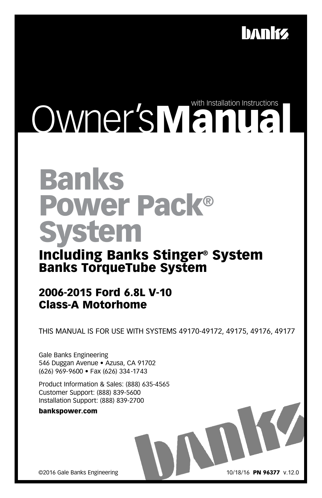

# Owner'sManual Comparison

# Banks Power Pack® System

# Including Banks Stinger® System Banks TorqueTube System

# 2006-2015 Ford 6.8L V-10 Class-A Motorhome

THIS MANUAL IS FOR USE WITH SYSTEMS 49170-49172, 49175, 49176, 49177

Gale Banks Engineering 546 Duggan Avenue • Azusa, CA 91702 (626) 969-9600 • Fax (626) 334-1743

Product Information & Sales: (888) 635-4565 Customer Support: (888) 839-5600 Installation Support: (888) 839-2700

bankspower.com

©2016 Gale Banks Engineering

10/18/16 PN 96377 v.12.0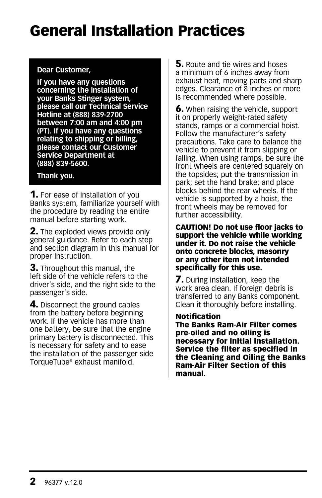# General Installation Practices

#### **Dear Customer,**

**If you have any questions concerning the installation of your Banks Stinger system, please call our Technical Service Hotline at (888) 839-2700 between 7:00 am and 4:00 pm (PT). If you have any questions relating to shipping or billing, please contact our Customer Service Department at (888) 839-5600.** 

#### **Thank you.**

**1.** For ease of installation of you Banks system, familiarize yourself with the procedure by reading the entire manual before starting work.

**2.** The exploded views provide only general guidance. Refer to each step and section diagram in this manual for proper instruction.

**3.** Throughout this manual, the left side of the vehicle refers to the driver's side, and the right side to the passenger's side.

4. Disconnect the ground cables from the battery before beginning work. If the vehicle has more than one battery, be sure that the engine primary battery is disconnected. This is necessary for safety and to ease the installation of the passenger side TorqueTube® exhaust manifold.

**5.** Route and tie wires and hoses a minimum of 6 inches away from exhaust heat, moving parts and sharp edges. Clearance of 8 inches or more is recommended where possible.

6. When raising the vehicle, support it on properly weight-rated safety stands, ramps or a commercial hoist. Follow the manufacturer's safety precautions. Take care to balance the vehicle to prevent it from slipping or falling. When using ramps, be sure the front wheels are centered squarely on the topsides; put the transmission in park; set the hand brake; and place blocks behind the rear wheels. If the vehicle is supported by a hoist, the front wheels may be removed for further accessibility.

CAUTION! Do not use floor jacks to support the vehicle while working under it. Do not raise the vehicle onto concrete blocks, masonry or any other item not intended specifically for this use.

**7.** During installation, keep the work area clean. If foreign debris is transferred to any Banks component. Clean it thoroughly before installing.

#### Notification

The Banks Ram-Air Filter comes pre-oiled and no oiling is necessary for initial installation. Service the filter as specified in the Cleaning and Oiling the Banks Ram-Air Filter Section of this manual.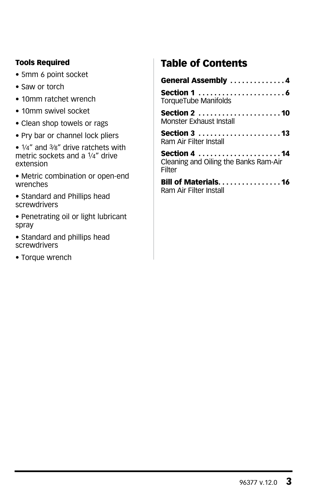#### Tools Required

- 5mm 6 point socket
- Saw or torch
- 10mm ratchet wrench
- 10mm swivel socket
- Clean shop towels or rags
- Pry bar or channel lock pliers
- 1⁄4" and 3⁄8" drive ratchets with metric sockets and a 1⁄4" drive extension
- Metric combination or open-end wrenches
- Standard and Phillips head screwdrivers
- Penetrating oil or light lubricant spray
- Standard and phillips head screwdrivers
- Torque wrench

# Table of Contents

| General Assembly 4                                                                                                                                                                                                                                   |
|------------------------------------------------------------------------------------------------------------------------------------------------------------------------------------------------------------------------------------------------------|
| Section 1 $\ldots$ , $\ldots$ , $\ldots$ , $\ldots$<br>TorqueTube Manifolds                                                                                                                                                                          |
| Monster Exhaust Install                                                                                                                                                                                                                              |
| Section 3 13<br>Ram Air Filter Install                                                                                                                                                                                                               |
| Cleaning and Oiling the Banks Ram-Air<br>Filter                                                                                                                                                                                                      |
| Bill of Materials16<br>$-1$ . The contract of the contract of the contract of the contract of the contract of the contract of the contract of the contract of the contract of the contract of the contract of the contract of the contract of the co |

Ram Air Filter Install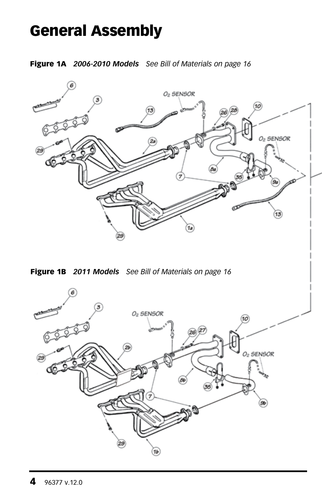# General Assembly

Figure 1A *2006-2010 Models See Bill of Materials on page 16*



Figure 1B *2011 Models See Bill of Materials on page 16*

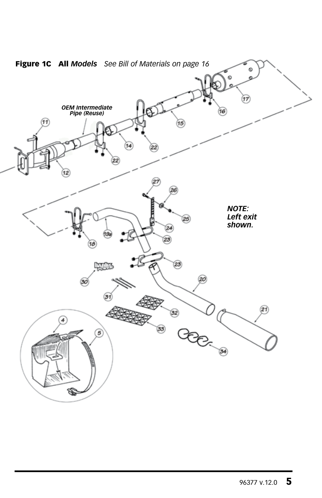

Figure 1C All *Models See Bill of Materials on page 16*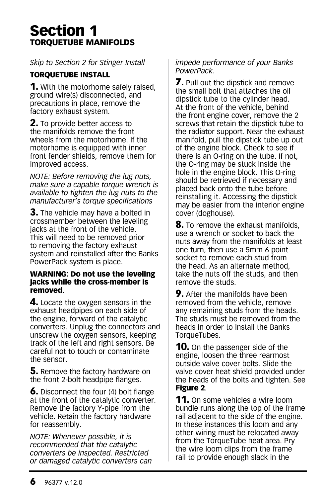# Section 1 TORQUETUBE MANIFOLDS

#### *Skip to Section 2 for Stinger Install*

#### TORQUETUBE INSTALL

**1.** With the motorhome safely raised, ground wire(s) disconnected, and precautions in place, remove the factory exhaust system.

**2.** To provide better access to the manifolds remove the front wheels from the motorhome. If the motorhome is equipped with inner front fender shields, remove them for improved access.

*NOTE: Before removing the lug nuts, make sure a capable torque wrench is available to tighten the lug nuts to the manufacturer's torque specifications* 

**3.** The vehicle may have a bolted in crossmember between the leveling jacks at the front of the vehicle. This will need to be removed prior to removing the factory exhaust system and reinstalled after the Banks PowerPack system is place.

#### WARNING: Do not use the leveling jacks while the cross-member is removed.

4. Locate the oxygen sensors in the exhaust headpipes on each side of the engine, forward of the catalytic converters. Unplug the connectors and unscrew the oxygen sensors, keeping track of the left and right sensors. Be careful not to touch or contaminate the sensor.

**5.** Remove the factory hardware on the front 2-bolt headpipe flanges.

**6.** Disconnect the four (4) bolt flange at the front of the catalytic converter. Remove the factory Y-pipe from the vehicle. Retain the factory hardware for reassembly.

*NOTE: Whenever possible, it is recommended that the catalytic converters be inspected. Restricted or damaged catalytic converters can* 

#### *impede performance of your Banks PowerPack.*

**7.** Pull out the dipstick and remove the small bolt that attaches the oil dipstick tube to the cylinder head. At the front of the vehicle, behind the front engine cover, remove the 2 screws that retain the dipstick tube to the radiator support. Near the exhaust manifold, pull the dipstick tube up out of the engine block. Check to see if there is an O-ring on the tube. If not, the O-ring may be stuck inside the hole in the engine block. This O-ring should be retrieved if necessary and placed back onto the tube before reinstalling it. Accessing the dipstick may be easier from the interior engine cover (doghouse).

**8.** To remove the exhaust manifolds, use a wrench or socket to back the nuts away from the manifolds at least one turn, then use a 5mm 6 point socket to remove each stud from the head. As an alternate method, take the nuts off the studs, and then remove the studs.

**9.** After the manifolds have been removed from the vehicle, remove any remaining studs from the heads. The studs must be removed from the heads in order to install the Banks TorqueTubes.

**10.** On the passenger side of the engine, loosen the three rearmost outside valve cover bolts. Slide the valve cover heat shield provided under the heads of the bolts and tighten. See Figure 2.

**11.** On some vehicles a wire loom bundle runs along the top of the frame rail adjacent to the side of the engine. In these instances this loom and any other wiring must be relocated away from the TorqueTube heat area. Pry the wire loom clips from the frame rail to provide enough slack in the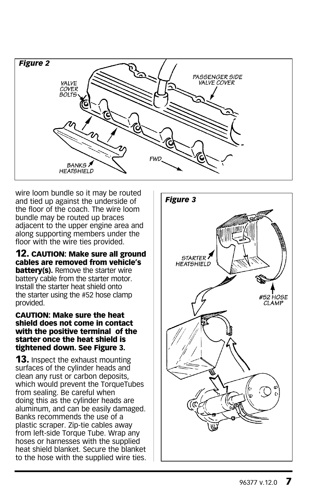

wire loom bundle so it may be routed and tied up against the underside of the floor of the coach. The wire loom bundle may be routed up braces adjacent to the upper engine area and along supporting members under the floor with the wire ties provided.

12. CAUTION: Make sure all ground cables are removed from vehicle's **battery(s).** Remove the starter wire battery cable from the starter motor. Install the starter heat shield onto the starter using the #52 hose clamp provided.

#### CAUTION: Make sure the heat shield does not come in contact with the positive terminal of the starter once the heat shield is tightened down. See Figure 3.

**13.** Inspect the exhaust mounting surfaces of the cylinder heads and clean any rust or carbon deposits, which would prevent the TorqueTubes from sealing. Be careful when doing this as the cylinder heads are aluminum, and can be easily damaged. Banks recommends the use of a plastic scraper. Zip-tie cables away from left-side Torque Tube. Wrap any hoses or harnesses with the supplied heat shield blanket. Secure the blanket to the hose with the supplied wire ties.

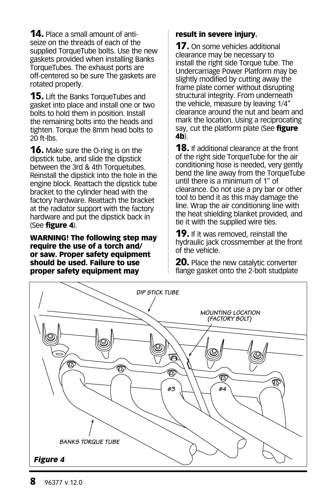**14.** Place a small amount of antiseize on the threads of each of the supplied TorqueTube bolts. Use the new gaskets provided when installing Banks TorqueTubes. The exhaust ports are off-centered so be sure The gaskets are rotated properly.

**15.** Lift the Banks TorqueTubes and gasket into place and install one or two bolts to hold them in position. Install the remaining bolts into the heads and tighten. Torque the 8mm head bolts to 20 ft-lbs.

**16.** Make sure the O-ring is on the dipstick tube, and slide the dipstick between the 3rd & 4th Torquetubes. Reinstall the dipstick into the hole in the engine block. Reattach the dipstick tube bracket to the cylinder head with the factory hardware. Reattach the bracket at the radiator support with the factory hardware and put the dipstick back in (See figure 4).

WARNING! The following step may require the use of a torch and/ or saw. Proper safety equipment should be used. Failure to use proper safety equipment may

#### result in severe injury.

**17.** On some vehicles additional clearance may be necessary to install the right side Torque tube. The Undercarriage Power Platform may be slightly modified by cutting away the frame plate corner without disrupting structural integrity. From underneath the vehicle, measure by leaving 1/4" clearance around the nut and beam and mark the location. Using a reciprocating say, cut the platform plate (See figure 4b).

**18.** If additional clearance at the front of the right side TorqueTube for the air conditioning hose is needed, very gently bend the line away from the TorqueTube until there is a minimum of 1" of clearance. Do not use a pry bar or other tool to bend it as this may damage the line. Wrap the air conditioning line with the heat shielding blanket provided, and tie it with the supplied wire ties.

**19.** If it was removed, reinstall the hydraulic jack crossmember at the front of the vehicle.

**20.** Place the new catalytic converter flange gasket onto the 2-bolt studplate

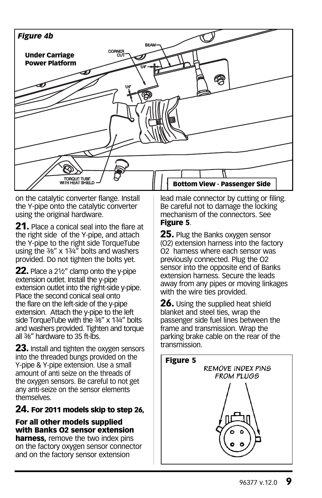

on the catalytic converter flange. Install the Y-pipe onto the catalytic converter using the original hardware.

**21.** Place a conical seal into the flare at the right side of the Y-pipe, and attach the Y-pipe to the right side TorqueTube using the 3⁄8" x 13⁄4" bolts and washers provided. Do not tighten the bolts yet.

**22.** Place a 21⁄2" clamp onto the y-pipe extension outlet. Install the y-pipe extension outlet into the right-side y-pipe. Place the second conical seal onto the flare on the left-side of the y-pipe extension. Attach the y-pipe to the left side TorqueTube with the 3⁄8" x 13⁄4" bolts and washers provided. Tighten and torque all 3⁄8" hardware to 35 ft-lbs.

**23.** Install and tighten the oxygen sensors into the threaded bungs provided on the Y-pipe & Y-pipe extension. Use a small amount of anti seize on the threads of the oxygen sensors. Be careful to not get any anti-seize on the sensor elements themselves.

#### 24. For 2011 models skip to step 26,

#### For all other models supplied with Banks O2 sensor extension

harness, remove the two index pins on the factory oxygen sensor connector and on the factory sensor extension

lead male connector by cutting or filing. Be careful not to damage the locking mechanism of the connectors. See Figure 5.

**25.** Plug the Banks oxygen sensor (O2) extension harness into the factory O2 harness where each sensor was previously connected. Plug the O2 sensor into the opposite end of Banks extension harness. Secure the leads away from any pipes or moving linkages with the wire ties provided.

**26.** Using the supplied heat shield blanket and steel ties, wrap the passenger side fuel lines between the frame and transmission. Wrap the parking brake cable on the rear of the transmission.

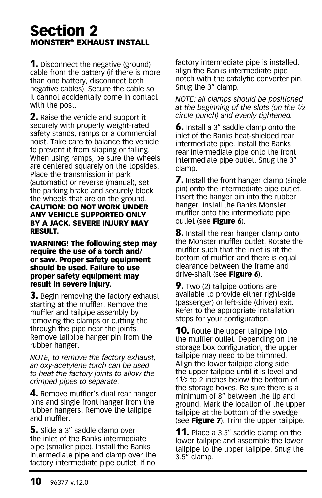# Section 2 MONSTER® EXHAUST INSTALL

**1.** Disconnect the negative (ground) cable from the battery (if there is more than one battery, disconnect both negative cables). Secure the cable so it cannot accidentally come in contact with the post.

**2.** Raise the vehicle and support it securely with properly weight-rated safety stands, ramps or a commercial hoist. Take care to balance the vehicle to prevent it from slipping or falling. When using ramps, be sure the wheels are centered squarely on the topsides. Place the transmission in park (automatic) or reverse (manual), set the parking brake and securely block the wheels that are on the ground. CAUTION: DO NOT WORK UNDER ANY VEHICLE SUPPORTED ONLY BY A JACK. SEVERE INJURY MAY RESULT.

WARNING! The following step may require the use of a torch and/ or saw. Proper safety equipment should be used. Failure to use proper safety equipment may result in severe injury.

**3.** Begin removing the factory exhaust starting at the muffler. Remove the muffler and tailpipe assembly by removing the clamps or cutting the through the pipe near the joints. Remove tailpipe hanger pin from the rubber hanger.

*NOTE, to remove the factory exhaust, an oxy-acetylene torch can be used to heat the factory joints to allow the crimped pipes to separate.*

4. Remove muffler's dual rear hanger pins and single front hanger from the rubber hangers. Remove the tailpipe and muffler.

**5.** Slide a 3" saddle clamp over the inlet of the Banks intermediate pipe (smaller pipe). Install the Banks intermediate pipe and clamp over the factory intermediate pipe outlet. If no

factory intermediate pipe is installed, align the Banks intermediate pipe notch with the catalytic converter pin. Snug the 3" clamp.

*NOTE: all clamps should be positioned at the beginning of the slots (on the 1⁄2 circle punch) and evenly tightened.*

**6.** Install a 3" saddle clamp onto the inlet of the Banks heat-shielded rear intermediate pipe. Install the Banks rear intermediate pipe onto the front intermediate pipe outlet. Snug the 3" clamp.

**7.** Install the front hanger clamp (single pin) onto the intermediate pipe outlet. Insert the hanger pin into the rubber hanger. Install the Banks Monster muffler onto the intermediate pipe outlet (see Figure 6).

**8.** Install the rear hanger clamp onto the Monster muffler outlet. Rotate the muffler such that the inlet is at the bottom of muffler and there is equal clearance between the frame and drive-shaft (see Figure 6).

**9.** Two (2) tailpipe options are available to provide either right-side (passenger) or left-side (driver) exit. Refer to the appropriate installation steps for your configuration.

**10.** Route the upper tailpipe into the muffler outlet. Depending on the storage box configuration, the upper tailpipe may need to be trimmed. Align the lower tailpipe along side the upper tailpipe until it is level and 11⁄2 to 2 inches below the bottom of the storage boxes. Be sure there is a minimum of 8" between the tip and ground. Mark the location of the upper tailpipe at the bottom of the swedge (see **Figure 7**). Trim the upper tailpipe.

**11.** Place a 3.5" saddle clamp on the lower tailpipe and assemble the lower tailpipe to the upper tailpipe. Snug the 3.5" clamp.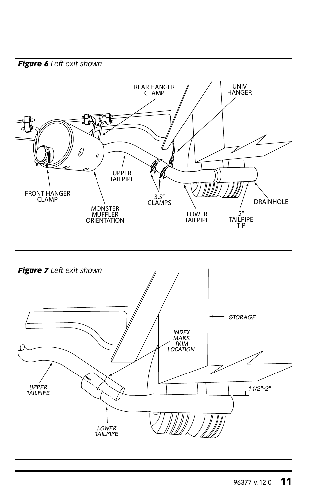

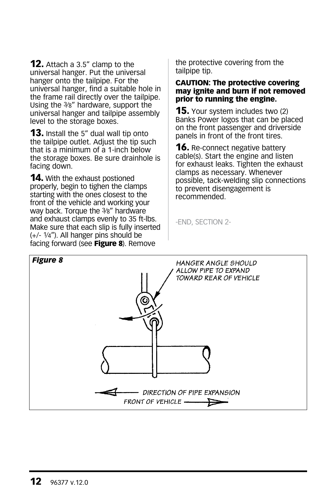**12.** Attach a 3.5" clamp to the universal hanger. Put the universal hanger onto the tailpipe. For the universal hanger, find a suitable hole in the frame rail directly over the tailpipe. Using the 3⁄8" hardware, support the universal hanger and tailpipe assembly level to the storage boxes.

**13.** Install the 5" dual wall tip onto the tailpipe outlet. Adjust the tip such that is a minimum of a 1-inch below the storage boxes. Be sure drainhole is facing down.

**14.** With the exhaust postioned properly, begin to tighen the clamps starting with the ones closest to the front of the vehicle and working your way back. Torque the 3⁄8" hardware and exhaust clamps evenly to 35 ft-lbs. Make sure that each slip is fully inserted (+/- 1⁄4"). All hanger pins should be facing forward (see Figure 8). Remove

the protective covering from the tailpipe tip.

#### CAUTION: The protective covering may ignite and burn if not removed prior to running the engine.

**15.** Your system includes two (2) Banks Power logos that can be placed on the front passenger and driverside panels in front of the front tires.

**16.** Re-connect negative battery cable(s). Start the engine and listen for exhaust leaks. Tighten the exhaust clamps as necessary. Whenever possible, tack-welding slip connections to prevent disengagement is recommended.

-END, SECTION 2-

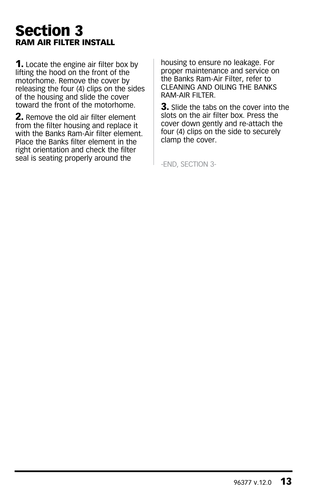# Section 3 RAM AIR FILTER INSTALL

**1.** Locate the engine air filter box by lifting the hood on the front of the motorhome. Remove the cover by releasing the four (4) clips on the sides of the housing and slide the cover toward the front of the motorhome.

**2.** Remove the old air filter element from the filter housing and replace it with the Banks Ram-Air filter element. Place the Banks filter element in the right orientation and check the filter seal is seating properly around the

housing to ensure no leakage. For proper maintenance and service on the Banks Ram-Air Filter, refer to CLEANING AND OILING THE BANKS RAM-AIR FILTER.

**3.** Slide the tabs on the cover into the slots on the air filter box. Press the cover down gently and re-attach the four (4) clips on the side to securely clamp the cover.

-END, SECTION 3-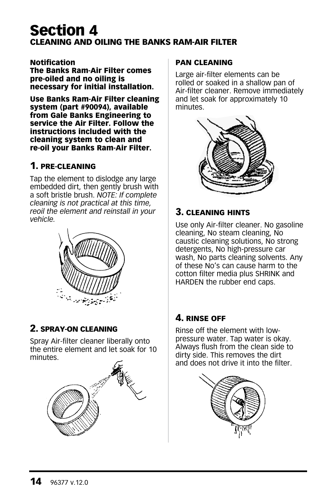# Section 4 CLEANING AND OILING THE BANKS RAM-AIR FILTER

Notification The Banks Ram-Air Filter comes pre-oiled and no oiling is necessary for initial installation.

Use Banks Ram-Air Filter cleaning system (part #90094), available from Gale Banks Engineering to service the Air Filter. Follow the instructions included with the cleaning system to clean and re-oil your Banks Ram-Air Filter.

#### 1. PRE-CLEANING

Tap the element to dislodge any large embedded dirt, then gently brush with a soft bristle brush. *NOTE: If complete cleaning is not practical at this time, reoil the element and reinstall in your vehicle.*



#### 2. SPRAY-ON CLEANING

Spray Air-filter cleaner liberally onto the entire element and let soak for 10 minutes.



#### PAN CLEANING

Large air-filter elements can be rolled or soaked in a shallow pan of Air-filter cleaner. Remove immediately and let soak for approximately 10 minutes.



#### 3. CLEANING HINTS

Use only Air-filter cleaner. No gasoline cleaning, No steam cleaning, No caustic cleaning solutions, No strong detergents, No high-pressure car wash, No parts cleaning solvents. Any of these No's can cause harm to the cotton filter media plus SHRINK and HARDEN the rubber end caps.

#### 4. RINSE OFF

Rinse off the element with lowpressure water. Tap water is okay. Always flush from the clean side to dirty side. This removes the dirt and does not drive it into the filter.

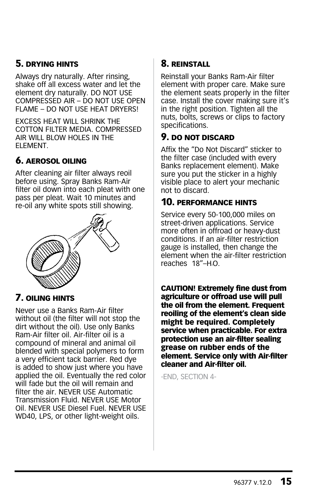#### 5. DRYING HINTS

Always dry naturally. After rinsing, shake off all excess water and let the element dry naturally. DO NOT USE COMPRESSED AIR – DO NOT USE OPEN FLAME – DO NOT USE HEAT DRYERS!

EXCESS HEAT WILL SHRINK THE COTTON FILTER MEDIA. COMPRESSED AIR WILL BLOW HOLES IN THE ELEMENT.

#### 6. AEROSOL OILING

After cleaning air filter always reoil before using. Spray Banks Ram-Air filter oil down into each pleat with one pass per pleat. Wait 10 minutes and re-oil any white spots still showing.



#### 7. OILING HINTS

Never use a Banks Ram-Air filter without oil (the filter will not stop the dirt without the oil). Use only Banks Ram-Air filter oil. Air-filter oil is a compound of mineral and animal oil blended with special polymers to form a very efficient tack barrier. Red dye is added to show just where you have applied the oil. Eventually the red color will fade but the oil will remain and filter the air. NEVER USE Automatic Transmission Fluid. NEVER USE Motor Oil. NEVER USE Diesel Fuel. NEVER USE WD40, LPS, or other light-weight oils.

#### 8. REINSTALL

Reinstall your Banks Ram-Air filter element with proper care. Make sure the element seats properly in the filter case. Install the cover making sure it's in the right position. Tighten all the nuts, bolts, screws or clips to factory specifications.

#### 9. DO NOT DISCARD

Affix the "Do Not Discard" sticker to the filter case (included with every Banks replacement element). Make sure you put the sticker in a highly visible place to alert your mechanic not to discard.

#### 10. PERFORMANCE HINTS

Service every 50-100,000 miles on street-driven applications. Service more often in offroad or heavy-dust conditions. If an air-filter restriction gauge is installed, then change the element when the air-filter restriction reaches 18"-H<sub>0</sub>.

CAUTION! Extremely fine dust from agriculture or offroad use will pull the oil from the element. Frequent reoiling of the element's clean side might be required. Completely service when practicable. For extra protection use an air-filter sealing grease on rubber ends of the element. Service only with Air-filter cleaner and Air-filter oil.

-END, SECTION 4-